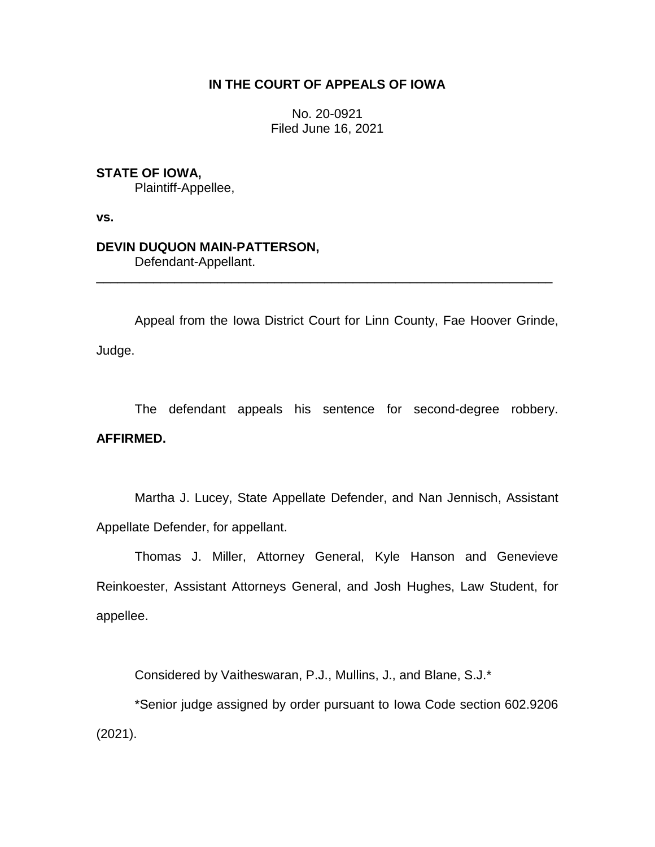# **IN THE COURT OF APPEALS OF IOWA**

No. 20-0921 Filed June 16, 2021

## **STATE OF IOWA,**

Plaintiff-Appellee,

**vs.**

## **DEVIN DUQUON MAIN-PATTERSON,**

Defendant-Appellant.

Appeal from the Iowa District Court for Linn County, Fae Hoover Grinde, Judge.

\_\_\_\_\_\_\_\_\_\_\_\_\_\_\_\_\_\_\_\_\_\_\_\_\_\_\_\_\_\_\_\_\_\_\_\_\_\_\_\_\_\_\_\_\_\_\_\_\_\_\_\_\_\_\_\_\_\_\_\_\_\_\_\_

The defendant appeals his sentence for second-degree robbery. **AFFIRMED.**

Martha J. Lucey, State Appellate Defender, and Nan Jennisch, Assistant Appellate Defender, for appellant.

Thomas J. Miller, Attorney General, Kyle Hanson and Genevieve Reinkoester, Assistant Attorneys General, and Josh Hughes, Law Student, for appellee.

Considered by Vaitheswaran, P.J., Mullins, J., and Blane, S.J.\*

\*Senior judge assigned by order pursuant to Iowa Code section 602.9206 (2021).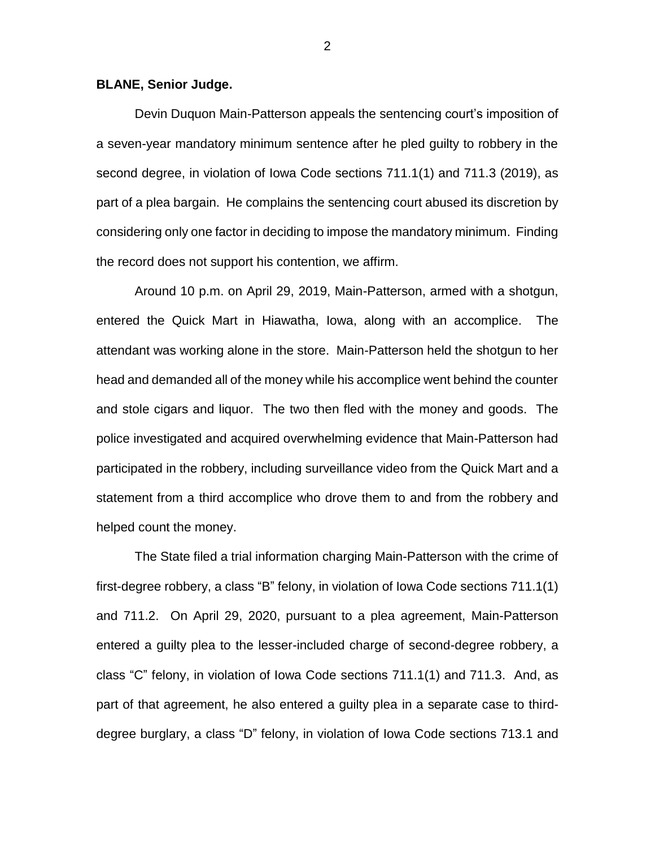#### **BLANE, Senior Judge.**

Devin Duquon Main-Patterson appeals the sentencing court's imposition of a seven-year mandatory minimum sentence after he pled guilty to robbery in the second degree, in violation of Iowa Code sections 711.1(1) and 711.3 (2019), as part of a plea bargain. He complains the sentencing court abused its discretion by considering only one factor in deciding to impose the mandatory minimum. Finding the record does not support his contention, we affirm.

Around 10 p.m. on April 29, 2019, Main-Patterson, armed with a shotgun, entered the Quick Mart in Hiawatha, Iowa, along with an accomplice. The attendant was working alone in the store. Main-Patterson held the shotgun to her head and demanded all of the money while his accomplice went behind the counter and stole cigars and liquor. The two then fled with the money and goods. The police investigated and acquired overwhelming evidence that Main-Patterson had participated in the robbery, including surveillance video from the Quick Mart and a statement from a third accomplice who drove them to and from the robbery and helped count the money.

The State filed a trial information charging Main-Patterson with the crime of first-degree robbery, a class "B" felony, in violation of Iowa Code sections 711.1(1) and 711.2. On April 29, 2020, pursuant to a plea agreement, Main-Patterson entered a guilty plea to the lesser-included charge of second-degree robbery, a class "C" felony, in violation of Iowa Code sections 711.1(1) and 711.3. And, as part of that agreement, he also entered a guilty plea in a separate case to thirddegree burglary, a class "D" felony, in violation of Iowa Code sections 713.1 and

2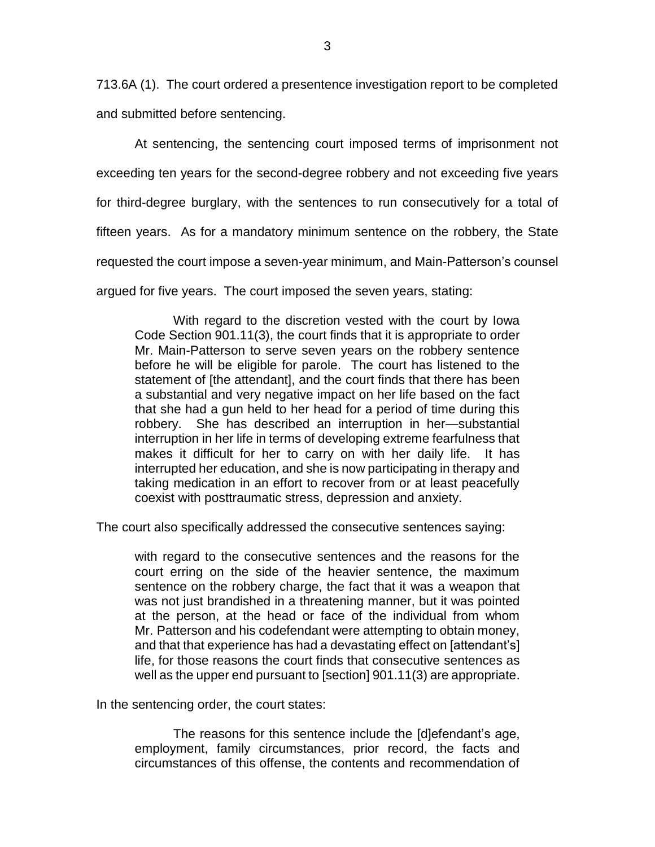713.6A (1). The court ordered a presentence investigation report to be completed and submitted before sentencing.

At sentencing, the sentencing court imposed terms of imprisonment not exceeding ten years for the second-degree robbery and not exceeding five years for third-degree burglary, with the sentences to run consecutively for a total of fifteen years. As for a mandatory minimum sentence on the robbery, the State requested the court impose a seven-year minimum, and Main-Patterson's counsel argued for five years. The court imposed the seven years, stating:

With regard to the discretion vested with the court by Iowa Code Section 901.11(3), the court finds that it is appropriate to order Mr. Main-Patterson to serve seven years on the robbery sentence before he will be eligible for parole. The court has listened to the statement of [the attendant], and the court finds that there has been a substantial and very negative impact on her life based on the fact that she had a gun held to her head for a period of time during this robbery. She has described an interruption in her—substantial interruption in her life in terms of developing extreme fearfulness that makes it difficult for her to carry on with her daily life. It has interrupted her education, and she is now participating in therapy and taking medication in an effort to recover from or at least peacefully coexist with posttraumatic stress, depression and anxiety.

The court also specifically addressed the consecutive sentences saying:

with regard to the consecutive sentences and the reasons for the court erring on the side of the heavier sentence, the maximum sentence on the robbery charge, the fact that it was a weapon that was not just brandished in a threatening manner, but it was pointed at the person, at the head or face of the individual from whom Mr. Patterson and his codefendant were attempting to obtain money, and that that experience has had a devastating effect on [attendant's] life, for those reasons the court finds that consecutive sentences as well as the upper end pursuant to [section] 901.11(3) are appropriate.

In the sentencing order, the court states:

The reasons for this sentence include the [d]efendant's age, employment, family circumstances, prior record, the facts and circumstances of this offense, the contents and recommendation of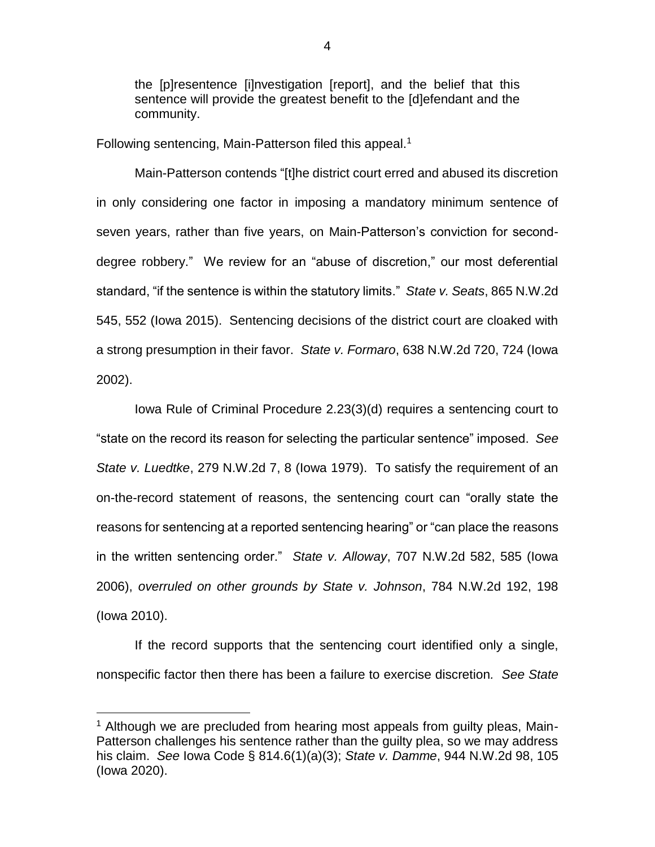the [p]resentence [i]nvestigation [report], and the belief that this sentence will provide the greatest benefit to the [d]efendant and the community.

Following sentencing, Main-Patterson filed this appeal.<sup>1</sup>

Main-Patterson contends "[t]he district court erred and abused its discretion in only considering one factor in imposing a mandatory minimum sentence of seven years, rather than five years, on Main-Patterson's conviction for seconddegree robbery." We review for an "abuse of discretion," our most deferential standard, "if the sentence is within the statutory limits." *State v. Seats*, 865 N.W.2d 545, 552 (Iowa 2015). Sentencing decisions of the district court are cloaked with a strong presumption in their favor. *State v. Formaro*, 638 N.W.2d 720, 724 (Iowa 2002).

Iowa Rule of Criminal Procedure 2.23(3)(d) requires a sentencing court to "state on the record its reason for selecting the particular sentence" imposed. *See State v. Luedtke*, 279 N.W.2d 7, 8 (Iowa 1979). To satisfy the requirement of an on-the-record statement of reasons, the sentencing court can "orally state the reasons for sentencing at a reported sentencing hearing" or "can place the reasons in the written sentencing order." *State v. Alloway*, 707 N.W.2d 582, 585 (Iowa 2006), *overruled on other grounds by State v. Johnson*, 784 N.W.2d 192, 198 (Iowa 2010).

If the record supports that the sentencing court identified only a single, nonspecific factor then there has been a failure to exercise discretion*. See State* 

 $\overline{a}$ 

<sup>&</sup>lt;sup>1</sup> Although we are precluded from hearing most appeals from guilty pleas, Main-Patterson challenges his sentence rather than the guilty plea, so we may address his claim. *See* Iowa Code § 814.6(1)(a)(3); *State v. Damme*, 944 N.W.2d 98, 105 (Iowa 2020).